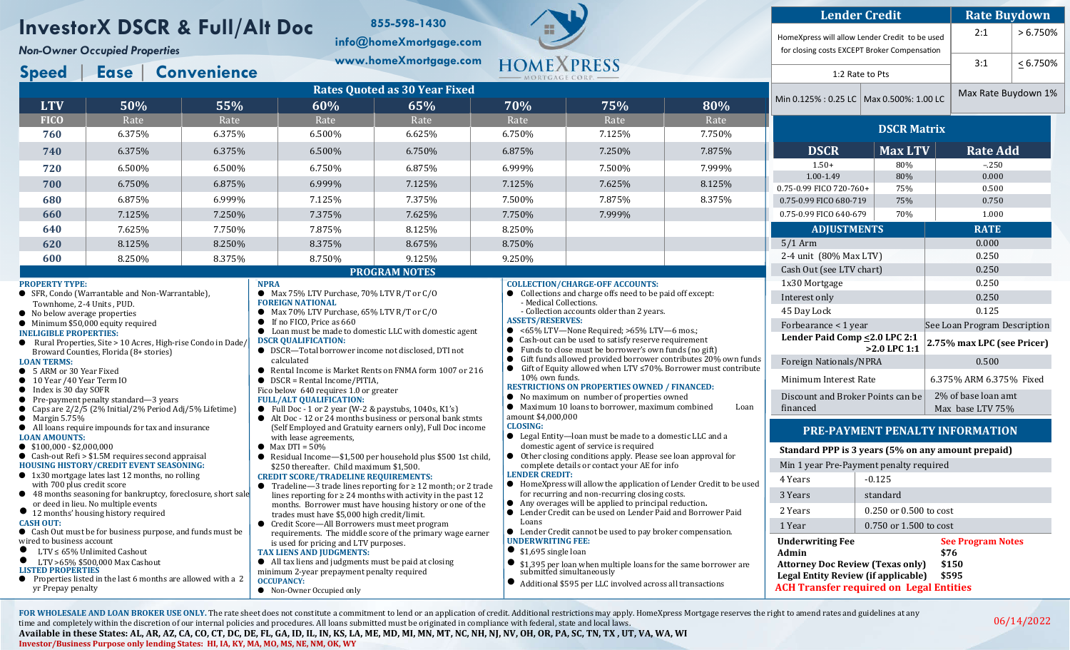## **InvestorX DSCR & Full/Alt Doc**

*Non-Owner Occupied Properties*

**Speed** | **Ease** | **Convenience**

● SFR, Condo (Warrantable and Non-Warrantable),

Broward Counties, Florida (8+ stories)

 $\bullet$  Rural Properties, Site > 10 Acres, High-rise Condo in Dade

Townhome, 2-4 Units , PUD. ● No below average properties ● Minimum \$50,000 equity required

**INELIGIBLE PROPERTIES:** 

**PROPERTY TYPE:**

**LOAN TERMS:** 

**info@homeXmortgage.com www.homeXmortgage.com**

**855-598-1430**

**Rates Quoted as 30 Year Fixed LTV 50% 55% 60% 65% 70% 75% 80% FICO** | Rate | Rate | Rate | Rate | Rate | Rate | Rate | Rate  $\vert$  6.375%  $\vert$  6.375%  $\vert$  6.500%  $\vert$  6.625%  $\vert$  6.750%  $\vert$  7.125%  $\vert$  7.750%  $\vert$  6.375%  $\vert$  6.375%  $\vert$  6.500%  $\vert$  6.750%  $\vert$  6.875%  $\vert$  7.250%  $\vert$  7.875%  $\vert$  6.500%  $\vert$  6.500%  $\vert$  6.750%  $\vert$  6.875%  $\vert$  6.999%  $\vert$  7.500%  $\vert$  7.999% 6.750% 6.875% 6.999% 7.125% 7.125% 7.625% 8.125% 6.875% 6.999% 7.125% 7.375% 7.500% 7.875% 8.375%

**660** 7.125% 7.250% 7.375% 7.625% 7.750% 7.999%

● Max 75% LTV Purchase, 70% LTV R/T or C/O

● Max 70% LTV Purchase, 65% LTV R/T or C/O

● Loan must be made to domestic LLC with domestic agent

**PROGRAM NOTES**

● DSCR-Total borrower income not disclosed, DTI not

**640** 7.625% 7.750% 7.875% 8.125% 8.250% **620** 8.125% 8.250% 8.250% 8.375% 8.675% 8.750% **600** 8.250% 8.375% 8.750% 9.125% 9.250%

**FOREIGN NATIONAL**

● If no FICO, Price as 660

**DSCR QUALIFICATION:**

calculated

**NPRA**



| <b>Lender Credit</b>                                                                           | <b>Rate Buydown</b> |  |                 |                     |  |  |
|------------------------------------------------------------------------------------------------|---------------------|--|-----------------|---------------------|--|--|
| HomeXpress will allow Lender Credit to be used<br>for closing costs EXCEPT Broker Compensation |                     |  | 2:1             | > 6.750%            |  |  |
|                                                                                                |                     |  | 3:1             | $< 6.750\%$         |  |  |
| 1:2 Rate to Pts                                                                                |                     |  |                 |                     |  |  |
| Min 0.125% : 0.25 LC $\mid$                                                                    | Max 0.500%: 1.00 LC |  |                 | Max Rate Buydown 1% |  |  |
| <b>DSCR Matrix</b>                                                                             |                     |  |                 |                     |  |  |
| <b>DSCR</b>                                                                                    | <b>Max LTV</b>      |  | <b>Rate Add</b> |                     |  |  |
| $1.50+$<br>80%                                                                                 |                     |  | $-.250$         |                     |  |  |
| $1.00 - 1.49$                                                                                  | 80%                 |  |                 |                     |  |  |
| 0.75-0.99 FICO 720-760+                                                                        | 75%                 |  | 0.500           |                     |  |  |
| 0.75-0.99 FICO 680-719                                                                         | 75%                 |  | 0.750           |                     |  |  |
| 0.75-0.99 FICO 640-679                                                                         | 70%                 |  |                 |                     |  |  |
| <b>ADJUSTMENTS</b>                                                                             |                     |  |                 |                     |  |  |

| $1.750\%$                                                                         | 7.999%                                                                                                                                        |  |                               | <u>U.75-U.99 FILU 64U-679</u>                 | 70%                        | <b>1.000</b>                            |  |  |
|-----------------------------------------------------------------------------------|-----------------------------------------------------------------------------------------------------------------------------------------------|--|-------------------------------|-----------------------------------------------|----------------------------|-----------------------------------------|--|--|
| 8.250%                                                                            |                                                                                                                                               |  |                               | <b>ADJUSTMENTS</b>                            |                            | <b>RATE</b>                             |  |  |
| 8.750%                                                                            |                                                                                                                                               |  |                               | $5/1$ Arm                                     |                            | 0.000                                   |  |  |
| 9.250%                                                                            |                                                                                                                                               |  |                               | 2-4 unit (80% Max LTV)                        |                            | 0.250                                   |  |  |
|                                                                                   |                                                                                                                                               |  |                               | Cash Out (see LTV chart)                      |                            | 0.250                                   |  |  |
| <b>COLLECTION/CHARGE-OFF ACCOUNTS:</b>                                            |                                                                                                                                               |  | 1x30 Mortgage                 |                                               | 0.250                      |                                         |  |  |
| Collections and charge offs need to be paid off except:<br>- Medical Collections. |                                                                                                                                               |  |                               | Interest only                                 |                            | 0.250                                   |  |  |
|                                                                                   | - Collection accounts older than 2 years.                                                                                                     |  | 45 Day Lock                   |                                               | 0.125                      |                                         |  |  |
| <b>ASSETS/RESERVES:</b>                                                           | ● <65% LTV-None Required; >65% LTV-6 mos.;                                                                                                    |  |                               | Forbearance < 1 year                          |                            | See Loan Program Description            |  |  |
|                                                                                   | • Cash-out can be used to satisfy reserve requirement<br>Funds to close must be borrower's own funds (no gift)                                |  | Lender Paid Comp <2.0 LPC 2:1 | $>2.0$ LPC 1:1                                | 2.75% max LPC (see Pricer) |                                         |  |  |
| Gift funds allowed provided borrower contributes 20% own funds                    |                                                                                                                                               |  |                               | Foreign Nationals/NPRA                        |                            | 0.500                                   |  |  |
|                                                                                   | Gift of Equity allowed when LTV $\leq$ 70%. Borrower must contribute<br>10% own funds.<br><b>RESTRICTIONS ON PROPERTIES OWNED / FINANCED:</b> |  |                               | Minimum Interest Rate                         |                            | 6.375% ARM 6.375% Fixed                 |  |  |
|                                                                                   | • No maximum on number of properties owned<br>• Maximum 10 loans to borrower, maximum combined                                                |  | Loan                          | Discount and Broker Points can be<br>financed |                            | 2% of base loan amt<br>Max base LTV 75% |  |  |
| amount \$4,000,000<br><b>CLOSING:</b>                                             | $\blacksquare$ Legal Entity Legan must be made to a domestic LLC and a                                                                        |  |                               |                                               |                            | <b>PRE-PAYMENT PENALTY INFORMATION</b>  |  |  |

Min 0.12

## **unt prepaid)**

| <b>Underwriting Fee</b> |                                         | <b>See Program Notes</b><br>\$76 |  |  |
|-------------------------|-----------------------------------------|----------------------------------|--|--|
| 1 Year                  | $0.750$ or 1.500 to cost                |                                  |  |  |
| 2 Years                 | $0.250$ or $0.500$ to cost              |                                  |  |  |
| 3 Years                 | standard                                |                                  |  |  |
| 4 Years                 | $-0.125$                                |                                  |  |  |
|                         | Min 1 year Pre-Payment penalty required |                                  |  |  |

| • 5 ARM or 30 Year Fixed<br>$\bullet$ 10 Year /40 Year Term IO<br>$\bullet$ Index is 30 day SOFR<br>$\bullet$ Pre-payment penalty standard—3 years<br>• Caps are $2/2/5$ (2% Initial/2% Period Adj/5% Lifetime)<br>$\bullet$ Margin 5.75%<br>• All loans require impounds for tax and insurance<br><b>LOAN AMOUNTS:</b> | ● Rental Income is Market Rents on FNMA form 1007 or 216<br>$\bullet$ DSCR = Rental Income/PITIA,<br>Fico below 640 requires 1.0 or greater<br><b>FULL/ALT QUALIFICATION:</b><br>• Full Doc - 1 or 2 year (W-2 & paystubs, $1040s$ , K1's)<br>• Alt Doc - 12 or 24 months business or personal bank stmts<br>(Self Employed and Gratuity earners only), Full Doc income<br>with lease agreements, | • Gift of Equity allowed when LTV $\leq$ 70%. Borrower must contribute<br>10% own funds.<br><b>RESTRICTIONS ON PROPERTIES OWNED / FINANCED:</b><br>• No maximum on number of properties owned<br>• Maximum 10 loans to borrower, maximum combined<br>Loan<br>amount \$4,000,000<br><b>CLOSING:</b><br>• Legal Entity—loan must be made to a domestic LLC and a | Minimum Interest Rate<br>Discount and Broker Points can be<br>financed                                                                                                      | <b>PRE-PAYMENT PENALTY INFO</b>                    | 6.375%<br>$2\%$ of<br>Max b   |
|-------------------------------------------------------------------------------------------------------------------------------------------------------------------------------------------------------------------------------------------------------------------------------------------------------------------------|---------------------------------------------------------------------------------------------------------------------------------------------------------------------------------------------------------------------------------------------------------------------------------------------------------------------------------------------------------------------------------------------------|----------------------------------------------------------------------------------------------------------------------------------------------------------------------------------------------------------------------------------------------------------------------------------------------------------------------------------------------------------------|-----------------------------------------------------------------------------------------------------------------------------------------------------------------------------|----------------------------------------------------|-------------------------------|
| $\bullet$ \$100,000 - \$2,000,000<br>• Cash-out Refi $> $1.5M$ requires second appraisal<br><b>HOUSING HISTORY/CREDIT EVENT SEASONING:</b><br>$\bullet$ 1x30 mortgage lates last 12 months, no rolling                                                                                                                  | $\bullet$ Max DTI = 50%<br>Residual Income—\$1,500 per household plus \$500 1st child,<br>\$250 thereafter. Child maximum \$1,500.<br><b>CREDIT SCORE/TRADELINE REQUIREMENTS:</b>                                                                                                                                                                                                                 | domestic agent of service is required<br>● Other closing conditions apply. Please see loan approval for<br>complete details or contact your AE for info<br><b>LENDER CREDIT:</b>                                                                                                                                                                               | Min 1 year Pre-Payment penalty required                                                                                                                                     | Standard PPP is 3 years (5% on any amor            |                               |
| with 700 plus credit score<br>• 48 months seasoning for bankruptcy, foreclosure, short sale<br>or deed in lieu. No multiple events<br>• 12 months' housing history required<br><b>CASH OUT:</b>                                                                                                                         | Tradeline—3 trade lines reporting for $\geq 12$ month; or 2 trade<br>$\bullet$<br>lines reporting for $\geq 24$ months with activity in the past 12<br>months. Borrower must have housing history or one of the<br>trades must have \$5,000 high credit/limit.<br>• Credit Score-All Borrowers must meet program                                                                                  | • HomeXpress will allow the application of Lender Credit to be used<br>for recurring and non-recurring closing costs.<br>• Any overages will be applied to principal reduction.<br>• Lender Credit can be used on Lender Paid and Borrower Paid<br>Loans                                                                                                       | 4 Years<br>3 Years<br>2 Years                                                                                                                                               | $-0.125$<br>standard<br>$0.250$ or $0.500$ to cost |                               |
| • Cash Out must be for business purpose, and funds must be<br>wired to business account<br>$\bullet$ LTV $\leq 65\%$ Unlimited Cashout<br>LTV >65% \$500,000 Max Cashout<br><b>LISTED PROPERTIES</b><br>● Properties listed in the last 6 months are allowed with a 2<br>yr Prepay penalty                              | requirements. The middle score of the primary wage earner<br>is used for pricing and LTV purposes.<br><b>TAX LIENS AND JUDGMENTS:</b><br>All tax liens and judgments must be paid at closing<br>minimum 2-year prepayment penalty required<br><b>OCCUPANCY:</b><br>• Non-Owner Occupied only                                                                                                      | • Lender Credit cannot be used to pay broker compensation.<br><b>UNDERWRITING FEE:</b><br>\$1,695 single loan<br>\$1,395 per loan when multiple loans for the same borrower are submitted simultaneously<br>Additional \$595 per LLC involved across all transactions                                                                                          | 1 Year<br><b>Underwriting Fee</b><br>Admin<br><b>Attorney Doc Review (Texas only)</b><br>Legal Entity Review (if applicable)<br><b>ACH Transfer required on Legal Entit</b> | 0.750 or 1.500 to cost                             | See:<br>\$76<br>\$15<br>\$59. |

FOR WHOLESALE AND LOAN BROKER USE ONLY. The rate sheet does not constitute a commitment to lend or an application of credit. Additional restrictions may apply. HomeXpress Mortgage reserves the right to amend rates and guid time and completely within the discretion of our internal policies and procedures. All loans submitted must be originated in compliance with federal, state and local laws.

**Available in these States: AL, AR, AZ, CA, CO, CT, DC, DE, FL, GA, ID, IL, IN, KS, LA, ME, MD, MI, MN, MT, NC, NH, NJ, NV, OH, OR, PA, SC, TN, TX , UT, VA, WA, WI Investor/Business Purpose only lending States: HI, IA, KY, MA, MO, MS, NE, NM, OK, WY**